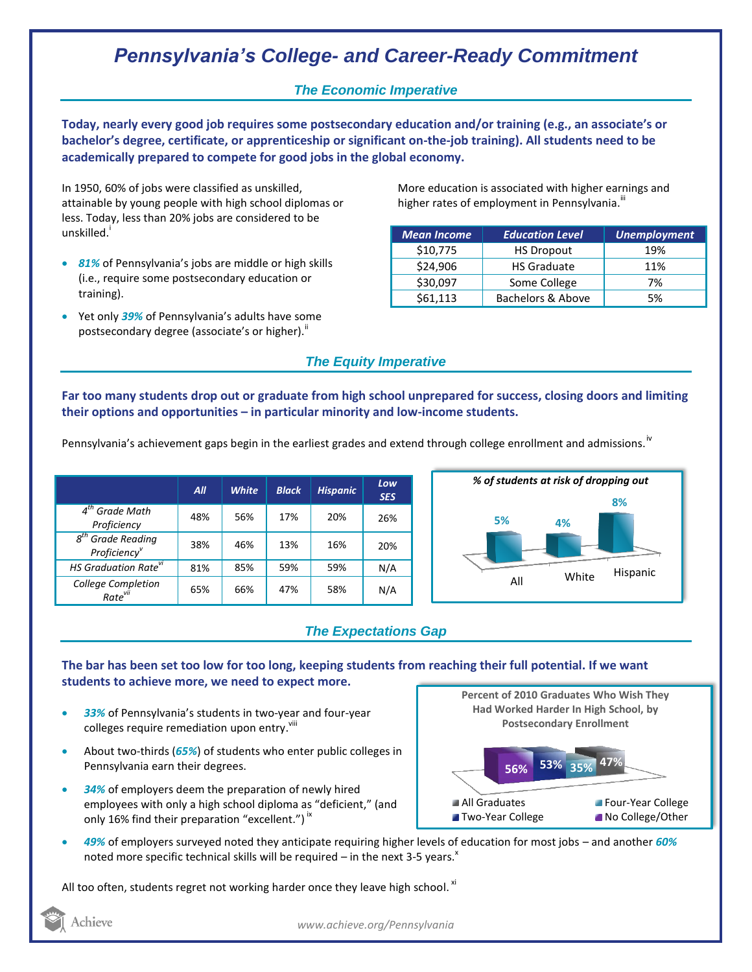# *Pennsylvania's College- and Career-Ready Commitment*

### *The Economic Imperative*

**Today, nearly every good job requires some postsecondary education and/or training (e.g., an associate's or bachelor's degree, certificate, or apprenticeship or significant on-the-job training). All students need to be academically prepared to compete for good jobs in the global economy.**

In 1950, 60% of jobs were classified as unskilled, attainable by young people with high school diplomas or less. Today, less than 20% jobs are considered to be unskilled.<sup>1</sup>

- *81%* of Pennsylvania's jobs are middle or high skills (i.e., require some postsecondary education or training).
- Yet only *39%* of Pennsylvania's adults have some postsecondary degree (associate's or higher)."

More education is associated with higher earnings and higher rates of employment in Pennsylvania. $^{\text{III}}$ 

| <b>Mean Income</b> | <b>Education Level</b> | <b>Unemployment</b> |  |
|--------------------|------------------------|---------------------|--|
| \$10,775           | <b>HS Dropout</b>      | 19%                 |  |
| \$24,906           | <b>HS Graduate</b>     | 11%                 |  |
| \$30,097           | Some College           | 7%                  |  |
| \$61,113           | Bachelors & Above      | 5%                  |  |

## *The Equity Imperative*

**Far too many students drop out or graduate from high school unprepared for success, closing doors and limiting their options and opportunities – in particular minority and low-income students.** 

Pennsylvania's achievement gaps begin in the earliest grades and extend through college enrollment and admissions.<sup>iv</sup>

|                                           | All | <b>White</b> | <b>Black</b> | <b>Hispanic</b> | Low<br><b>SES</b> |
|-------------------------------------------|-----|--------------|--------------|-----------------|-------------------|
| $4th$ Grade Math<br>Proficiency           | 48% | 56%          | 17%          | 20%             | 26%               |
| $8th$ Grade Reading<br>Proficiency        | 38% | 46%          | 13%          | 16%             | 20%               |
| HS Graduation Rate <sup>vi</sup>          | 81% | 85%          | 59%          | 59%             | N/A               |
| College Completion<br>Rate <sup>vii</sup> | 65% | 66%          | 47%          | 58%             | N/A               |



## *The Expectations Gap*

#### **The bar has been set too low for too long, keeping students from reaching their full potential. If we want students to achieve more, we need to expect more.**

- *33%* of Pennsylvania's students in two-year and four-year colleges require remediation upon entry.<sup>viii</sup>
- About two-thirds (*65%*) of students who enter public colleges in Pennsylvania earn their degrees.
- *34%* of employers deem the preparation of newly hired employees with only a high school diploma as "deficient," (and only 16% find their preparation "excellent.")  $\dot{ }$   $\,$



 *49%* of employers surveyed noted they anticipate requiring higher levels of education for most jobs – and another *60%* noted more specific technical skills will be required – in the next 3-5 years. $x$ 

All too often, students regret not working harder once they leave high school.  $^{\text{xi}}$ 

Achieve

*www.achieve.org/Pennsylvania*